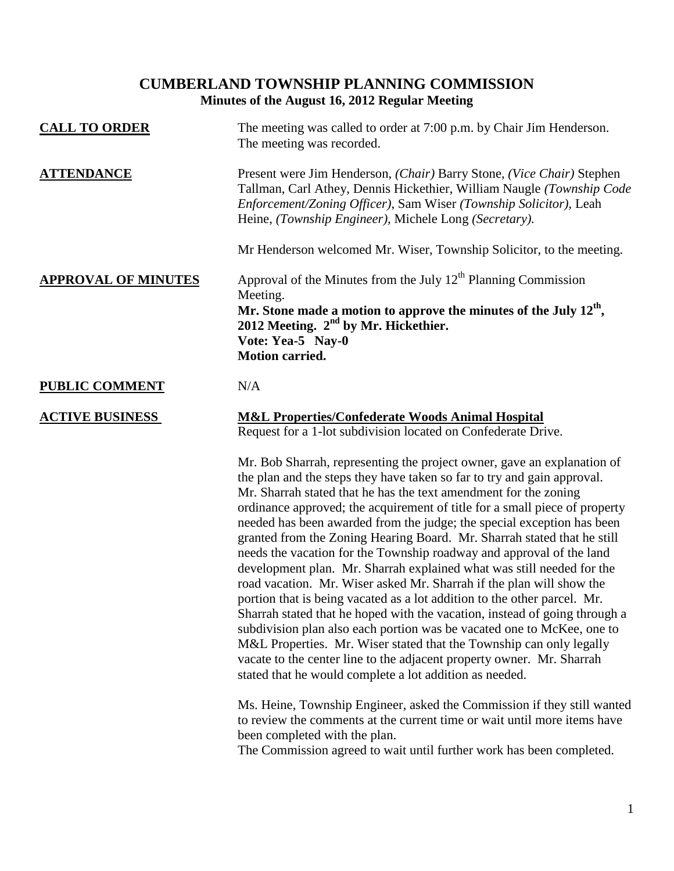# **CUMBERLAND TOWNSHIP PLANNING COMMISSION Minutes of the August 16, 2012 Regular Meeting**

| <b>CALL TO ORDER</b>       | The meeting was called to order at 7:00 p.m. by Chair Jim Henderson.<br>The meeting was recorded.                                                                                                                                                                                                                                                                                                                                                                                                                                                                                                                                                                                                                                                                                                                                                                                                                                                                                                                                                                                                                                 |
|----------------------------|-----------------------------------------------------------------------------------------------------------------------------------------------------------------------------------------------------------------------------------------------------------------------------------------------------------------------------------------------------------------------------------------------------------------------------------------------------------------------------------------------------------------------------------------------------------------------------------------------------------------------------------------------------------------------------------------------------------------------------------------------------------------------------------------------------------------------------------------------------------------------------------------------------------------------------------------------------------------------------------------------------------------------------------------------------------------------------------------------------------------------------------|
| <b>ATTENDANCE</b>          | Present were Jim Henderson, (Chair) Barry Stone, (Vice Chair) Stephen<br>Tallman, Carl Athey, Dennis Hickethier, William Naugle (Township Code<br>Enforcement/Zoning Officer), Sam Wiser (Township Solicitor), Leah<br>Heine, (Township Engineer), Michele Long (Secretary).                                                                                                                                                                                                                                                                                                                                                                                                                                                                                                                                                                                                                                                                                                                                                                                                                                                      |
|                            | Mr Henderson welcomed Mr. Wiser, Township Solicitor, to the meeting.                                                                                                                                                                                                                                                                                                                                                                                                                                                                                                                                                                                                                                                                                                                                                                                                                                                                                                                                                                                                                                                              |
| <b>APPROVAL OF MINUTES</b> | Approval of the Minutes from the July 12 <sup>th</sup> Planning Commission<br>Meeting.                                                                                                                                                                                                                                                                                                                                                                                                                                                                                                                                                                                                                                                                                                                                                                                                                                                                                                                                                                                                                                            |
|                            | Mr. Stone made a motion to approve the minutes of the July $12th$ ,<br>2012 Meeting. 2 <sup>nd</sup> by Mr. Hickethier.<br>Vote: Yea-5 Nay-0<br><b>Motion carried.</b>                                                                                                                                                                                                                                                                                                                                                                                                                                                                                                                                                                                                                                                                                                                                                                                                                                                                                                                                                            |
| <b>PUBLIC COMMENT</b>      | N/A                                                                                                                                                                                                                                                                                                                                                                                                                                                                                                                                                                                                                                                                                                                                                                                                                                                                                                                                                                                                                                                                                                                               |
| <b>ACTIVE BUSINESS</b>     | <b>M&amp;L Properties/Confederate Woods Animal Hospital</b><br>Request for a 1-lot subdivision located on Confederate Drive.                                                                                                                                                                                                                                                                                                                                                                                                                                                                                                                                                                                                                                                                                                                                                                                                                                                                                                                                                                                                      |
|                            | Mr. Bob Sharrah, representing the project owner, gave an explanation of<br>the plan and the steps they have taken so far to try and gain approval.<br>Mr. Sharrah stated that he has the text amendment for the zoning<br>ordinance approved; the acquirement of title for a small piece of property<br>needed has been awarded from the judge; the special exception has been<br>granted from the Zoning Hearing Board. Mr. Sharrah stated that he still<br>needs the vacation for the Township roadway and approval of the land<br>development plan. Mr. Sharrah explained what was still needed for the<br>road vacation. Mr. Wiser asked Mr. Sharrah if the plan will show the<br>portion that is being vacated as a lot addition to the other parcel. Mr.<br>Sharrah stated that he hoped with the vacation, instead of going through a<br>subdivision plan also each portion was be vacated one to McKee, one to<br>M&L Properties. Mr. Wiser stated that the Township can only legally<br>vacate to the center line to the adjacent property owner. Mr. Sharrah<br>stated that he would complete a lot addition as needed. |
|                            | Ms. Heine, Township Engineer, asked the Commission if they still wanted<br>to review the comments at the current time or wait until more items have<br>been completed with the plan.                                                                                                                                                                                                                                                                                                                                                                                                                                                                                                                                                                                                                                                                                                                                                                                                                                                                                                                                              |

The Commission agreed to wait until further work has been completed.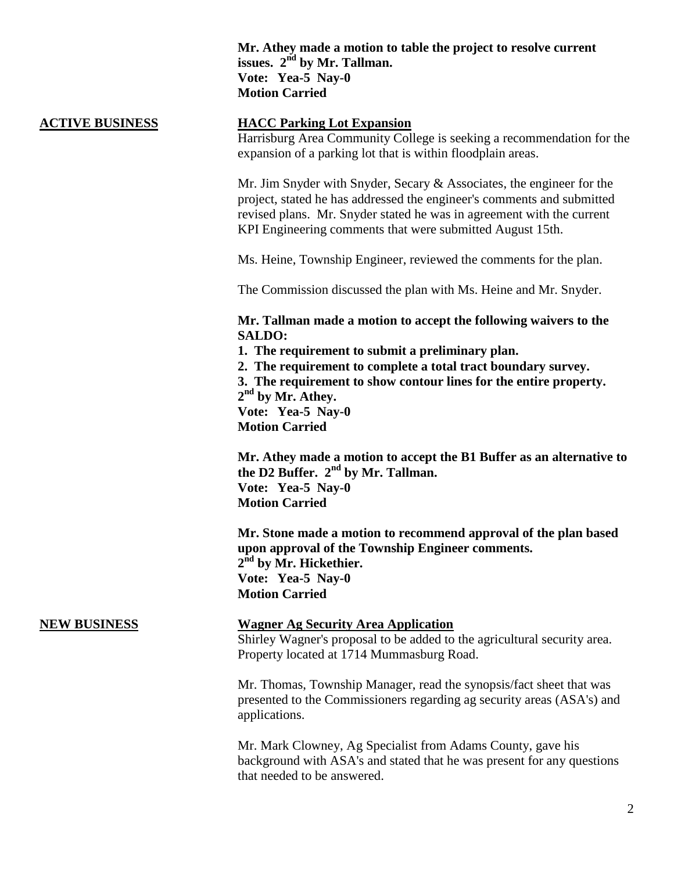### **Mr. Athey made a motion to table the project to resolve current issues. 2nd by Mr. Tallman. Vote: Yea-5 Nay-0 Motion Carried**

## **ACTIVE BUSINESS HACC Parking Lot Expansion**

Harrisburg Area Community College is seeking a recommendation for the expansion of a parking lot that is within floodplain areas.

Mr. Jim Snyder with Snyder, Secary & Associates, the engineer for the project, stated he has addressed the engineer's comments and submitted revised plans. Mr. Snyder stated he was in agreement with the current KPI Engineering comments that were submitted August 15th.

Ms. Heine, Township Engineer, reviewed the comments for the plan.

The Commission discussed the plan with Ms. Heine and Mr. Snyder.

**Mr. Tallman made a motion to accept the following waivers to the SALDO:**

**1. The requirement to submit a preliminary plan.**

**2. The requirement to complete a total tract boundary survey.**

**3. The requirement to show contour lines for the entire property. 2 nd by Mr. Athey.**

**Vote: Yea-5 Nay-0**

**Motion Carried**

**Mr. Athey made a motion to accept the B1 Buffer as an alternative to the D2 Buffer. 2nd by Mr. Tallman. Vote: Yea-5 Nay-0 Motion Carried**

**Mr. Stone made a motion to recommend approval of the plan based upon approval of the Township Engineer comments. 2 nd by Mr. Hickethier. Vote: Yea-5 Nay-0 Motion Carried**

#### **NEW BUSINESS Wagner Ag Security Area Application**

Shirley Wagner's proposal to be added to the agricultural security area. Property located at 1714 Mummasburg Road.

Mr. Thomas, Township Manager, read the synopsis/fact sheet that was presented to the Commissioners regarding ag security areas (ASA's) and applications.

Mr. Mark Clowney, Ag Specialist from Adams County, gave his background with ASA's and stated that he was present for any questions that needed to be answered.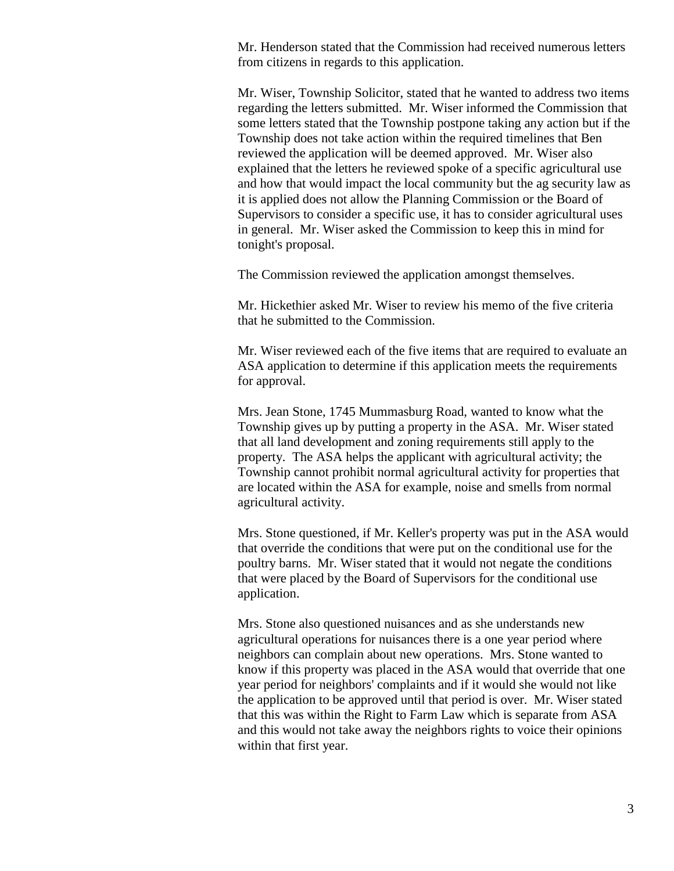Mr. Henderson stated that the Commission had received numerous letters from citizens in regards to this application.

Mr. Wiser, Township Solicitor, stated that he wanted to address two items regarding the letters submitted. Mr. Wiser informed the Commission that some letters stated that the Township postpone taking any action but if the Township does not take action within the required timelines that Ben reviewed the application will be deemed approved. Mr. Wiser also explained that the letters he reviewed spoke of a specific agricultural use and how that would impact the local community but the ag security law as it is applied does not allow the Planning Commission or the Board of Supervisors to consider a specific use, it has to consider agricultural uses in general. Mr. Wiser asked the Commission to keep this in mind for tonight's proposal.

The Commission reviewed the application amongst themselves.

Mr. Hickethier asked Mr. Wiser to review his memo of the five criteria that he submitted to the Commission.

Mr. Wiser reviewed each of the five items that are required to evaluate an ASA application to determine if this application meets the requirements for approval.

Mrs. Jean Stone, 1745 Mummasburg Road, wanted to know what the Township gives up by putting a property in the ASA. Mr. Wiser stated that all land development and zoning requirements still apply to the property. The ASA helps the applicant with agricultural activity; the Township cannot prohibit normal agricultural activity for properties that are located within the ASA for example, noise and smells from normal agricultural activity.

Mrs. Stone questioned, if Mr. Keller's property was put in the ASA would that override the conditions that were put on the conditional use for the poultry barns. Mr. Wiser stated that it would not negate the conditions that were placed by the Board of Supervisors for the conditional use application.

Mrs. Stone also questioned nuisances and as she understands new agricultural operations for nuisances there is a one year period where neighbors can complain about new operations. Mrs. Stone wanted to know if this property was placed in the ASA would that override that one year period for neighbors' complaints and if it would she would not like the application to be approved until that period is over. Mr. Wiser stated that this was within the Right to Farm Law which is separate from ASA and this would not take away the neighbors rights to voice their opinions within that first year.